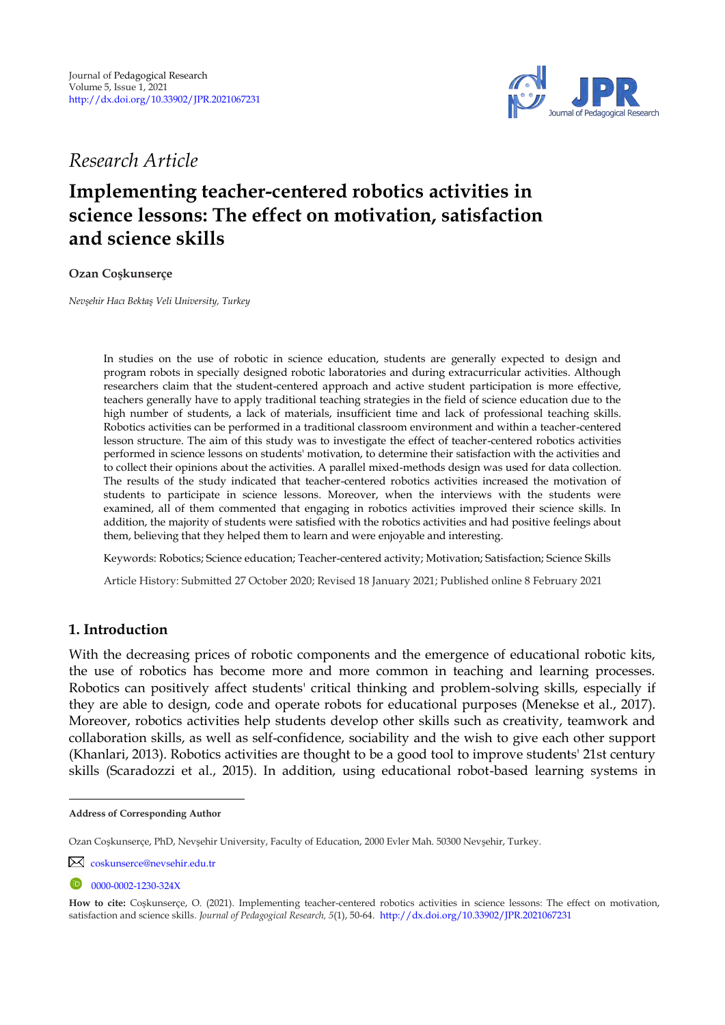

*Research Article* 

# **Implementing teacher-centered robotics activities in science lessons: The effect on motivation, satisfaction and science skills**

**Ozan Coşkunserçe <sup>1</sup>**

*Nevşehir Hacı Bektaş Veli University, Turkey* 

In studies on the use of robotic in science education, students are generally expected to design and program robots in specially designed robotic laboratories and during extracurricular activities. Although researchers claim that the student-centered approach and active student participation is more effective, teachers generally have to apply traditional teaching strategies in the field of science education due to the high number of students, a lack of materials, insufficient time and lack of professional teaching skills. Robotics activities can be performed in a traditional classroom environment and within a teacher-centered lesson structure. The aim of this study was to investigate the effect of teacher-centered robotics activities performed in science lessons on students' motivation, to determine their satisfaction with the activities and to collect their opinions about the activities. A parallel mixed-methods design was used for data collection. The results of the study indicated that teacher-centered robotics activities increased the motivation of students to participate in science lessons. Moreover, when the interviews with the students were examined, all of them commented that engaging in robotics activities improved their science skills. In addition, the majority of students were satisfied with the robotics activities and had positive feelings about them, believing that they helped them to learn and were enjoyable and interesting.

Keywords: Robotics; Science education; Teacher-centered activity; Motivation; Satisfaction; Science Skills

Article History: Submitted 27 October 2020; Revised 18 January 2021; Published online 8 February 2021

# **1. Introduction**

With the decreasing prices of robotic components and the emergence of educational robotic kits, the use of robotics has become more and more common in teaching and learning processes. Robotics can positively affect students' critical thinking and problem-solving skills, especially if they are able to design, code and operate robots for educational purposes (Menekse et al., 2017). Moreover, robotics activities help students develop other skills such as creativity, teamwork and collaboration skills, as well as self-confidence, sociability and the wish to give each other support (Khanlari, 2013). Robotics activities are thought to be a good tool to improve students' 21st century skills (Scaradozzi et al., 2015). In addition, using educational robot-based learning systems in

**Address of Corresponding Author**

Ozan Coşkunserçe, PhD, Nevşehir University, Faculty of Education, 2000 Evler Mah. 50300 Nevşehir, Turkey.

[coskunserce@nevsehir.edu.tr](mailto:coskunserce@nevsehir.edu.tr)

 $0$  [0000-0002-1230-324X](http://www.orcid.org/0000-0002-9376-2084)

**How to cite:** Coşkunserçe, O. (2021). Implementing teacher-centered robotics activities in science lessons: The effect on motivation, satisfaction and science skills. *Journal of Pedagogical Research, 5*(1), 50-64. <http://dx.doi.org/10.33902/JPR.2021067231>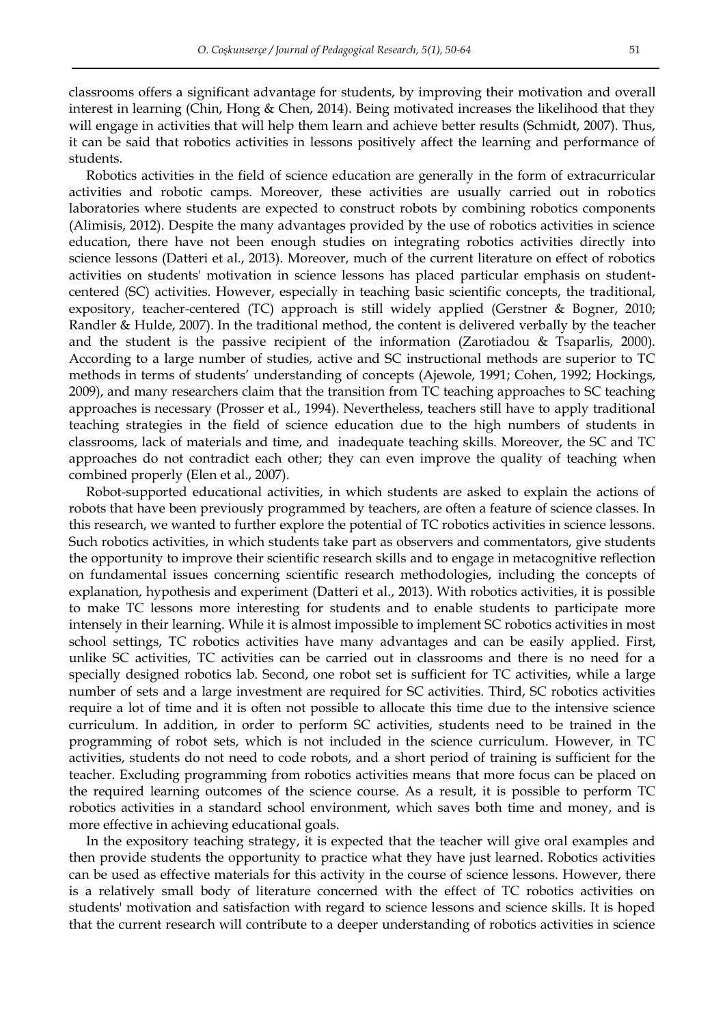classrooms offers a significant advantage for students, by improving their motivation and overall interest in learning (Chin, Hong & Chen, 2014). Being motivated increases the likelihood that they will engage in activities that will help them learn and achieve better results (Schmidt, 2007). Thus, it can be said that robotics activities in lessons positively affect the learning and performance of students.

Robotics activities in the field of science education are generally in the form of extracurricular activities and robotic camps. Moreover, these activities are usually carried out in robotics laboratories where students are expected to construct robots by combining robotics components (Alimisis, 2012). Despite the many advantages provided by the use of robotics activities in science education, there have not been enough studies on integrating robotics activities directly into science lessons (Datteri et al., 2013). Moreover, much of the current literature on effect of robotics activities on students' motivation in science lessons has placed particular emphasis on studentcentered (SC) activities. However, especially in teaching basic scientific concepts, the traditional, expository, teacher-centered (TC) approach is still widely applied (Gerstner & Bogner, 2010; Randler & Hulde, 2007). In the traditional method, the content is delivered verbally by the teacher and the student is the passive recipient of the information (Zarotiadou & Tsaparlis, 2000). According to a large number of studies, active and SC instructional methods are superior to TC methods in terms of students' understanding of concepts (Ajewole, 1991; Cohen, 1992; Hockings, 2009), and many researchers claim that the transition from TC teaching approaches to SC teaching approaches is necessary (Prosser et al., 1994). Nevertheless, teachers still have to apply traditional teaching strategies in the field of science education due to the high numbers of students in classrooms, lack of materials and time, and inadequate teaching skills. Moreover, the SC and TC approaches do not contradict each other; they can even improve the quality of teaching when combined properly (Elen et al., 2007).

Robot-supported educational activities, in which students are asked to explain the actions of robots that have been previously programmed by teachers, are often a feature of science classes. In this research, we wanted to further explore the potential of TC robotics activities in science lessons. Such robotics activities, in which students take part as observers and commentators, give students the opportunity to improve their scientific research skills and to engage in metacognitive reflection on fundamental issues concerning scientific research methodologies, including the concepts of explanation, hypothesis and experiment (Datteri et al., 2013). With robotics activities, it is possible to make TC lessons more interesting for students and to enable students to participate more intensely in their learning. While it is almost impossible to implement SC robotics activities in most school settings, TC robotics activities have many advantages and can be easily applied. First, unlike SC activities, TC activities can be carried out in classrooms and there is no need for a specially designed robotics lab. Second, one robot set is sufficient for TC activities, while a large number of sets and a large investment are required for SC activities. Third, SC robotics activities require a lot of time and it is often not possible to allocate this time due to the intensive science curriculum. In addition, in order to perform SC activities, students need to be trained in the programming of robot sets, which is not included in the science curriculum. However, in TC activities, students do not need to code robots, and a short period of training is sufficient for the teacher. Excluding programming from robotics activities means that more focus can be placed on the required learning outcomes of the science course. As a result, it is possible to perform TC robotics activities in a standard school environment, which saves both time and money, and is more effective in achieving educational goals.

In the expository teaching strategy, it is expected that the teacher will give oral examples and then provide students the opportunity to practice what they have just learned. Robotics activities can be used as effective materials for this activity in the course of science lessons. However, there is a relatively small body of literature concerned with the effect of TC robotics activities on students' motivation and satisfaction with regard to science lessons and science skills. It is hoped that the current research will contribute to a deeper understanding of robotics activities in science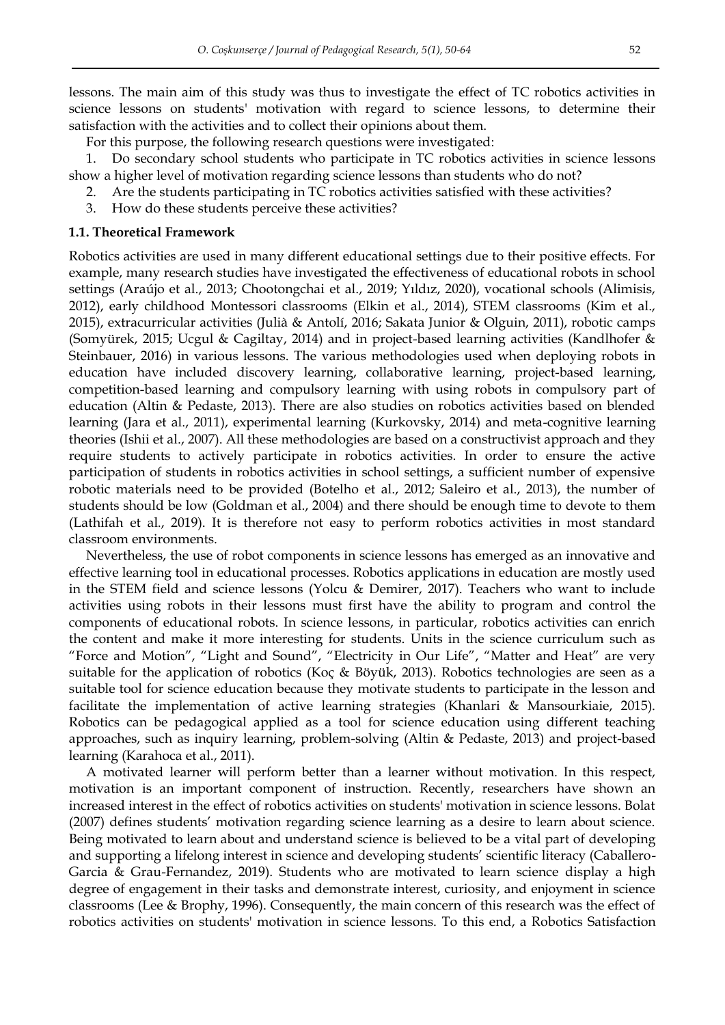lessons. The main aim of this study was thus to investigate the effect of TC robotics activities in science lessons on students' motivation with regard to science lessons, to determine their satisfaction with the activities and to collect their opinions about them.

For this purpose, the following research questions were investigated:

1. Do secondary school students who participate in TC robotics activities in science lessons show a higher level of motivation regarding science lessons than students who do not?

- 2. Are the students participating in TC robotics activities satisfied with these activities?
- 3. How do these students perceive these activities?

## **1.1. Theoretical Framework**

Robotics activities are used in many different educational settings due to their positive effects. For example, many research studies have investigated the effectiveness of educational robots in school settings (Araújo et al., 2013; Chootongchai et al., 2019; Yıldız, 2020), vocational schools (Alimisis, 2012), early childhood Montessori classrooms (Elkin et al., 2014), STEM classrooms (Kim et al., 2015), extracurricular activities (Julià & Antolí, 2016; Sakata Junior & Olguin, 2011), robotic camps (Somyürek, 2015; Ucgul & Cagiltay, 2014) and in project-based learning activities (Kandlhofer & Steinbauer, 2016) in various lessons. The various methodologies used when deploying robots in education have included discovery learning, collaborative learning, project-based learning, competition-based learning and compulsory learning with using robots in compulsory part of education (Altin & Pedaste, 2013). There are also studies on robotics activities based on blended learning (Jara et al., 2011), experimental learning (Kurkovsky, 2014) and meta-cognitive learning theories (Ishii et al., 2007). All these methodologies are based on a constructivist approach and they require students to actively participate in robotics activities. In order to ensure the active participation of students in robotics activities in school settings, a sufficient number of expensive robotic materials need to be provided (Botelho et al., 2012; Saleiro et al., 2013), the number of students should be low (Goldman et al., 2004) and there should be enough time to devote to them (Lathifah et al., 2019). It is therefore not easy to perform robotics activities in most standard classroom environments.

Nevertheless, the use of robot components in science lessons has emerged as an innovative and effective learning tool in educational processes. Robotics applications in education are mostly used in the STEM field and science lessons (Yolcu & Demirer, 2017). Teachers who want to include activities using robots in their lessons must first have the ability to program and control the components of educational robots. In science lessons, in particular, robotics activities can enrich the content and make it more interesting for students. Units in the science curriculum such as "Force and Motion", "Light and Sound", "Electricity in Our Life", "Matter and Heat" are very suitable for the application of robotics (Koç & Böyük, 2013). Robotics technologies are seen as a suitable tool for science education because they motivate students to participate in the lesson and facilitate the implementation of active learning strategies (Khanlari & Mansourkiaie, 2015). Robotics can be pedagogical applied as a tool for science education using different teaching approaches, such as inquiry learning, problem-solving (Altin & Pedaste, 2013) and project-based learning (Karahoca et al., 2011).

A motivated learner will perform better than a learner without motivation. In this respect, motivation is an important component of instruction. Recently, researchers have shown an increased interest in the effect of robotics activities on students' motivation in science lessons. Bolat (2007) defines students' motivation regarding science learning as a desire to learn about science. Being motivated to learn about and understand science is believed to be a vital part of developing and supporting a lifelong interest in science and developing students' scientific literacy (Caballero-Garcia & Grau-Fernandez, 2019). Students who are motivated to learn science display a high degree of engagement in their tasks and demonstrate interest, curiosity, and enjoyment in science classrooms (Lee & Brophy, 1996). Consequently, the main concern of this research was the effect of robotics activities on students' motivation in science lessons. To this end, a Robotics Satisfaction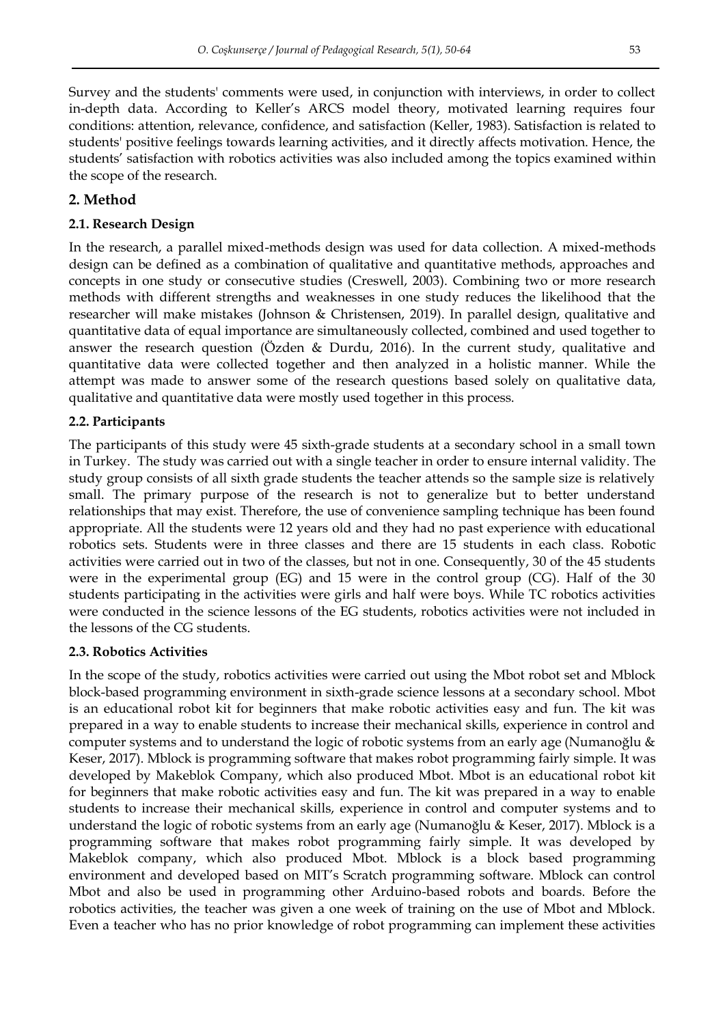Survey and the students' comments were used, in conjunction with interviews, in order to collect in-depth data. According to Keller's ARCS model theory, motivated learning requires four conditions: attention, relevance, confidence, and satisfaction (Keller, 1983). Satisfaction is related to students' positive feelings towards learning activities, and it directly affects motivation. Hence, the students' satisfaction with robotics activities was also included among the topics examined within the scope of the research.

## **2. Method**

## **2.1. Research Design**

In the research, a parallel mixed-methods design was used for data collection. A mixed-methods design can be defined as a combination of qualitative and quantitative methods, approaches and concepts in one study or consecutive studies (Creswell, 2003). Combining two or more research methods with different strengths and weaknesses in one study reduces the likelihood that the researcher will make mistakes (Johnson & Christensen, 2019). In parallel design, qualitative and quantitative data of equal importance are simultaneously collected, combined and used together to answer the research question (Ozden & Durdu, 2016). In the current study, qualitative and quantitative data were collected together and then analyzed in a holistic manner. While the attempt was made to answer some of the research questions based solely on qualitative data, qualitative and quantitative data were mostly used together in this process.

## **2.2. Participants**

The participants of this study were 45 sixth-grade students at a secondary school in a small town in Turkey. The study was carried out with a single teacher in order to ensure internal validity. The study group consists of all sixth grade students the teacher attends so the sample size is relatively small. The primary purpose of the research is not to generalize but to better understand relationships that may exist. Therefore, the use of convenience sampling technique has been found appropriate. All the students were 12 years old and they had no past experience with educational robotics sets. Students were in three classes and there are 15 students in each class. Robotic activities were carried out in two of the classes, but not in one. Consequently, 30 of the 45 students were in the experimental group (EG) and 15 were in the control group (CG). Half of the 30 students participating in the activities were girls and half were boys. While TC robotics activities were conducted in the science lessons of the EG students, robotics activities were not included in the lessons of the CG students.

### **2.3. Robotics Activities**

In the scope of the study, robotics activities were carried out using the Mbot robot set and Mblock block-based programming environment in sixth-grade science lessons at a secondary school. Mbot is an educational robot kit for beginners that make robotic activities easy and fun. The kit was prepared in a way to enable students to increase their mechanical skills, experience in control and computer systems and to understand the logic of robotic systems from an early age (Numanoğlu & Keser, 2017). Mblock is programming software that makes robot programming fairly simple. It was developed by Makeblok Company, which also produced Mbot. Mbot is an educational robot kit for beginners that make robotic activities easy and fun. The kit was prepared in a way to enable students to increase their mechanical skills, experience in control and computer systems and to understand the logic of robotic systems from an early age (Numanoğlu & Keser, 2017). Mblock is a programming software that makes robot programming fairly simple. It was developed by Makeblok company, which also produced Mbot. Mblock is a block based programming environment and developed based on MIT's Scratch programming software. Mblock can control Mbot and also be used in programming other Arduino-based robots and boards. Before the robotics activities, the teacher was given a one week of training on the use of Mbot and Mblock. Even a teacher who has no prior knowledge of robot programming can implement these activities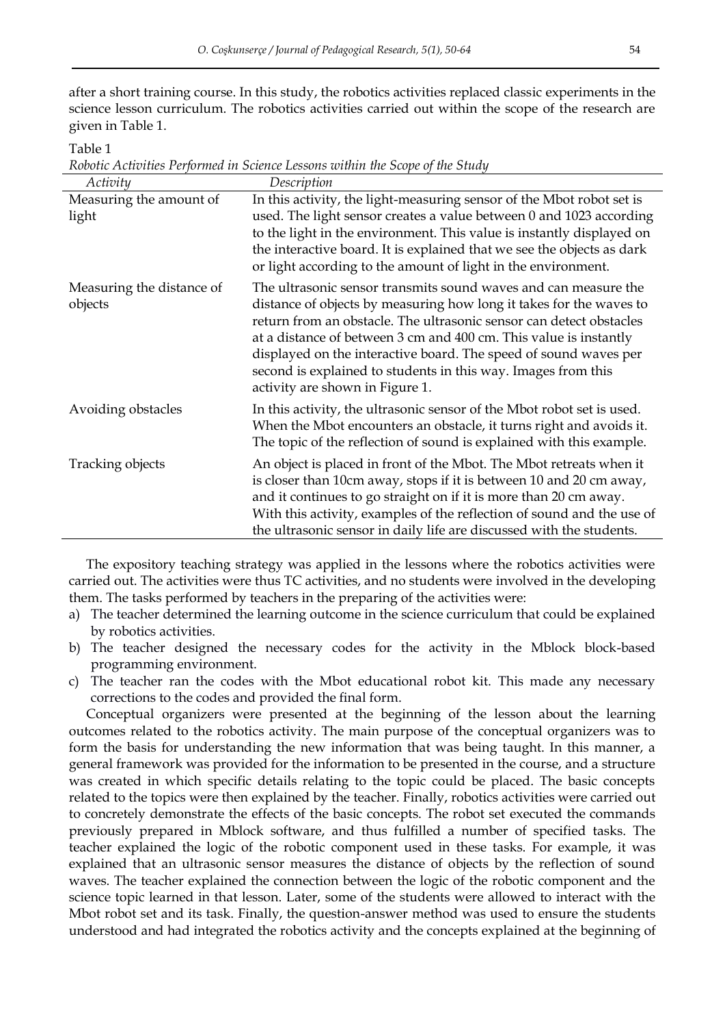after a short training course. In this study, the robotics activities replaced classic experiments in the science lesson curriculum. The robotics activities carried out within the scope of the research are given in Table 1.

Table 1

| Robotic Activities Performed in Science Lessons within the Scope of the Study |  |  |  |
|-------------------------------------------------------------------------------|--|--|--|
|                                                                               |  |  |  |

| Activity                             | Description                                                                                                                                                                                                                                                                                                                                                                                                                                                |
|--------------------------------------|------------------------------------------------------------------------------------------------------------------------------------------------------------------------------------------------------------------------------------------------------------------------------------------------------------------------------------------------------------------------------------------------------------------------------------------------------------|
| Measuring the amount of<br>light     | In this activity, the light-measuring sensor of the Mbot robot set is<br>used. The light sensor creates a value between 0 and 1023 according<br>to the light in the environment. This value is instantly displayed on<br>the interactive board. It is explained that we see the objects as dark<br>or light according to the amount of light in the environment.                                                                                           |
| Measuring the distance of<br>objects | The ultrasonic sensor transmits sound waves and can measure the<br>distance of objects by measuring how long it takes for the waves to<br>return from an obstacle. The ultrasonic sensor can detect obstacles<br>at a distance of between 3 cm and 400 cm. This value is instantly<br>displayed on the interactive board. The speed of sound waves per<br>second is explained to students in this way. Images from this<br>activity are shown in Figure 1. |
| Avoiding obstacles                   | In this activity, the ultrasonic sensor of the Mbot robot set is used.<br>When the Mbot encounters an obstacle, it turns right and avoids it.<br>The topic of the reflection of sound is explained with this example.                                                                                                                                                                                                                                      |
| Tracking objects                     | An object is placed in front of the Mbot. The Mbot retreats when it<br>is closer than 10cm away, stops if it is between 10 and 20 cm away,<br>and it continues to go straight on if it is more than 20 cm away.<br>With this activity, examples of the reflection of sound and the use of<br>the ultrasonic sensor in daily life are discussed with the students.                                                                                          |

The expository teaching strategy was applied in the lessons where the robotics activities were carried out. The activities were thus TC activities, and no students were involved in the developing them. The tasks performed by teachers in the preparing of the activities were:

- a) The teacher determined the learning outcome in the science curriculum that could be explained by robotics activities.
- b) The teacher designed the necessary codes for the activity in the Mblock block-based programming environment.
- c) The teacher ran the codes with the Mbot educational robot kit. This made any necessary corrections to the codes and provided the final form.

Conceptual organizers were presented at the beginning of the lesson about the learning outcomes related to the robotics activity. The main purpose of the conceptual organizers was to form the basis for understanding the new information that was being taught. In this manner, a general framework was provided for the information to be presented in the course, and a structure was created in which specific details relating to the topic could be placed. The basic concepts related to the topics were then explained by the teacher. Finally, robotics activities were carried out to concretely demonstrate the effects of the basic concepts. The robot set executed the commands previously prepared in Mblock software, and thus fulfilled a number of specified tasks. The teacher explained the logic of the robotic component used in these tasks. For example, it was explained that an ultrasonic sensor measures the distance of objects by the reflection of sound waves. The teacher explained the connection between the logic of the robotic component and the science topic learned in that lesson. Later, some of the students were allowed to interact with the Mbot robot set and its task. Finally, the question-answer method was used to ensure the students understood and had integrated the robotics activity and the concepts explained at the beginning of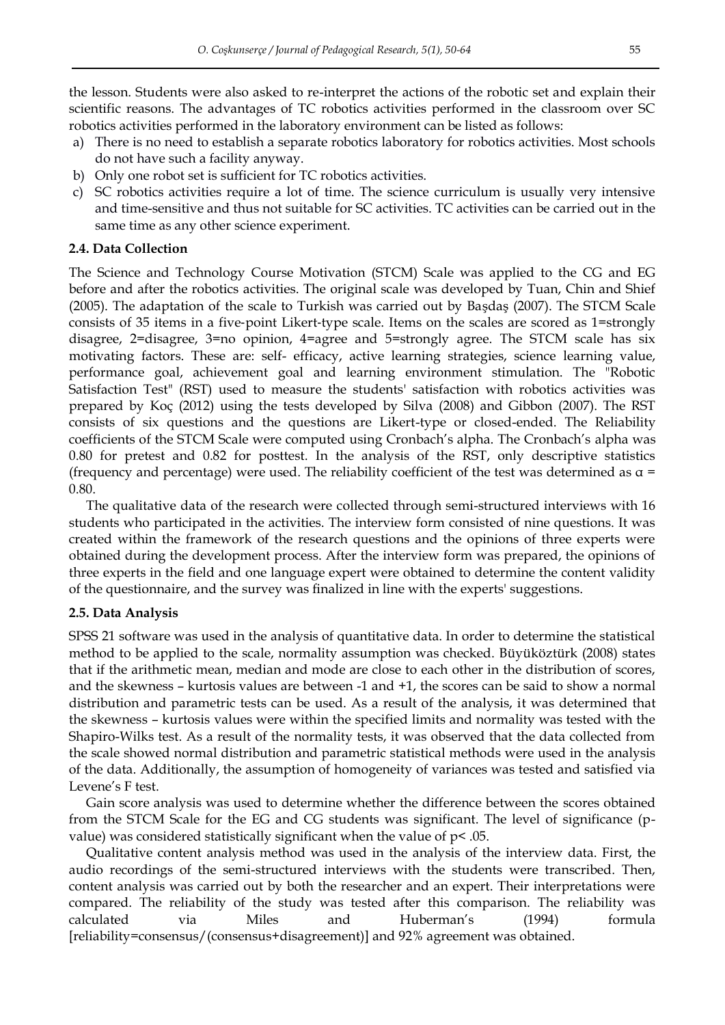the lesson. Students were also asked to re-interpret the actions of the robotic set and explain their scientific reasons. The advantages of TC robotics activities performed in the classroom over SC robotics activities performed in the laboratory environment can be listed as follows:

- a) There is no need to establish a separate robotics laboratory for robotics activities. Most schools do not have such a facility anyway.
- b) Only one robot set is sufficient for TC robotics activities.
- c) SC robotics activities require a lot of time. The science curriculum is usually very intensive and time-sensitive and thus not suitable for SC activities. TC activities can be carried out in the same time as any other science experiment.

## **2.4. Data Collection**

The Science and Technology Course Motivation (STCM) Scale was applied to the CG and EG before and after the robotics activities. The original scale was developed by Tuan, Chin and Shief (2005). The adaptation of the scale to Turkish was carried out by Başdaş (2007). The STCM Scale consists of 35 items in a five‐point Likert‐type scale. Items on the scales are scored as 1=strongly disagree, 2=disagree, 3=no opinion, 4=agree and 5=strongly agree. The STCM scale has six motivating factors. These are: self- efficacy, active learning strategies, science learning value, performance goal, achievement goal and learning environment stimulation. The "Robotic Satisfaction Test" (RST) used to measure the students' satisfaction with robotics activities was prepared by Koç (2012) using the tests developed by Silva (2008) and Gibbon (2007). The RST consists of six questions and the questions are Likert-type or closed-ended. The Reliability coefficients of the STCM Scale were computed using Cronbach's alpha. The Cronbach's alpha was 0.80 for pretest and 0.82 for posttest. In the analysis of the RST, only descriptive statistics (frequency and percentage) were used. The reliability coefficient of the test was determined as  $\alpha$  = 0.80.

The qualitative data of the research were collected through semi-structured interviews with 16 students who participated in the activities. The interview form consisted of nine questions. It was created within the framework of the research questions and the opinions of three experts were obtained during the development process. After the interview form was prepared, the opinions of three experts in the field and one language expert were obtained to determine the content validity of the questionnaire, and the survey was finalized in line with the experts' suggestions.

### **2.5. Data Analysis**

SPSS 21 software was used in the analysis of quantitative data. In order to determine the statistical method to be applied to the scale, normality assumption was checked. Büyüköztürk (2008) states that if the arithmetic mean, median and mode are close to each other in the distribution of scores, and the skewness – kurtosis values are between -1 and +1, the scores can be said to show a normal distribution and parametric tests can be used. As a result of the analysis, it was determined that the skewness – kurtosis values were within the specified limits and normality was tested with the Shapiro-Wilks test. As a result of the normality tests, it was observed that the data collected from the scale showed normal distribution and parametric statistical methods were used in the analysis of the data. Additionally, the assumption of homogeneity of variances was tested and satisfied via Levene's F test.

Gain score analysis was used to determine whether the difference between the scores obtained from the STCM Scale for the EG and CG students was significant. The level of significance (pvalue) was considered statistically significant when the value of  $p$ < .05.

Qualitative content analysis method was used in the analysis of the interview data. First, the audio recordings of the semi-structured interviews with the students were transcribed. Then, content analysis was carried out by both the researcher and an expert. Their interpretations were compared. The reliability of the study was tested after this comparison. The reliability was calculated via Miles and Huberman's (1994) formula [reliability=consensus/(consensus+disagreement)] and 92% agreement was obtained.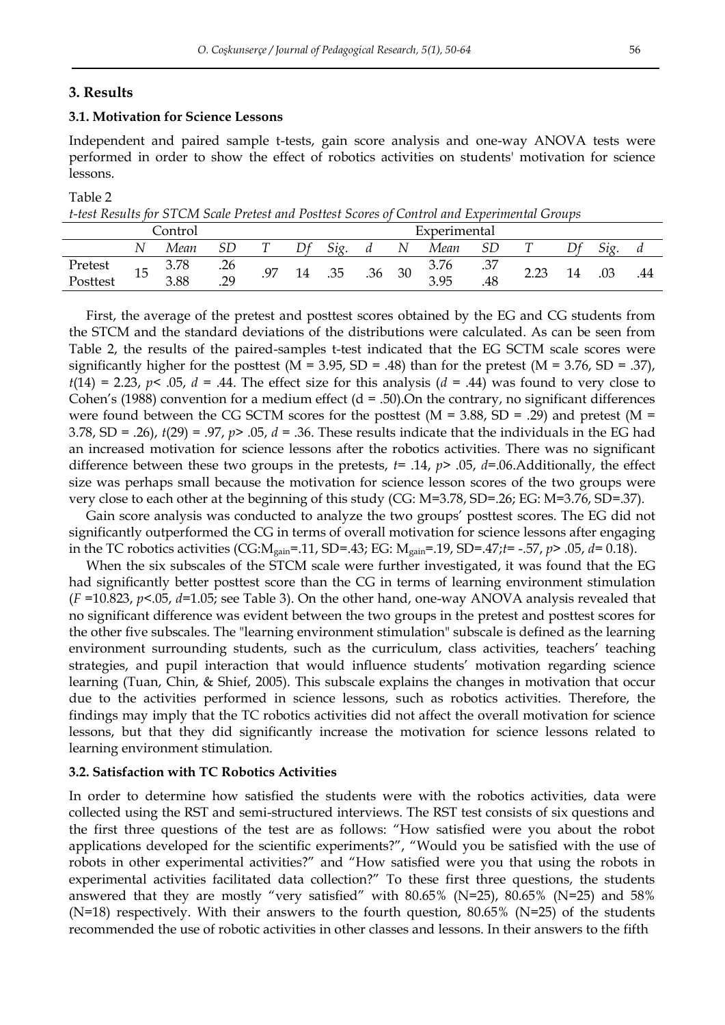## **3. Results**

## **3.1. Motivation for Science Lessons**

Independent and paired sample t-tests, gain score analysis and one-way ANOVA tests were performed in order to show the effect of robotics activities on students' motivation for science lessons.

### Table 2

| t-test Results for STCM Scale Pretest and Posttest Scores of Control and Experimental Groups |  |
|----------------------------------------------------------------------------------------------|--|
|----------------------------------------------------------------------------------------------|--|

|          |    | Control |     |                |    |     |     |    | Experimental |     |      |     |     |
|----------|----|---------|-----|----------------|----|-----|-----|----|--------------|-----|------|-----|-----|
|          |    | Mean    |     |                |    | Sig |     | N  | Mean         |     |      |     | и   |
| Pretest  |    | 3.78    | .26 | Q <sub>7</sub> | 14 | .35 |     | 30 | 3.76         | .37 | רה ה | .03 | .44 |
| Posttest | 15 | 3.88    | .29 | $\cdot$ / /    |    |     | .36 |    | 3.95         | .48 | بصبط |     |     |

First, the average of the pretest and posttest scores obtained by the EG and CG students from the STCM and the standard deviations of the distributions were calculated. As can be seen from Table 2, the results of the paired-samples t-test indicated that the EG SCTM scale scores were significantly higher for the posttest ( $M = 3.95$ ,  $SD = .48$ ) than for the pretest ( $M = 3.76$ ,  $SD = .37$ ),  $t(14) = 2.23$ ,  $p < .05$ ,  $d = .44$ . The effect size for this analysis ( $d = .44$ ) was found to very close to Cohen's (1988) convention for a medium effect ( $d = .50$ ). On the contrary, no significant differences were found between the CG SCTM scores for the posttest ( $M = 3.88$ , SD = .29) and pretest ( $M =$ 3.78, SD = .26), *t*(29) = .97, *p*> .05, *d* = .36. These results indicate that the individuals in the EG had an increased motivation for science lessons after the robotics activities. There was no significant difference between these two groups in the pretests, *t*= .14, *p*> .05, *d*=.06.Additionally, the effect size was perhaps small because the motivation for science lesson scores of the two groups were very close to each other at the beginning of this study (CG: M=3.78, SD=.26; EG: M=3.76, SD=.37).

Gain score analysis was conducted to analyze the two groups' posttest scores. The EG did not significantly outperformed the CG in terms of overall motivation for science lessons after engaging in the TC robotics activities (CG:Mgain=.11, SD=.43; EG: Mgain=.19, SD=.47;*t*= -.57, *p*> .05, *d*= 0.18).

When the six subscales of the STCM scale were further investigated, it was found that the EG had significantly better posttest score than the CG in terms of learning environment stimulation (*F* =10.823, *p*<.05, *d*=1.05; see Table 3). On the other hand, one-way ANOVA analysis revealed that no significant difference was evident between the two groups in the pretest and posttest scores for the other five subscales. The "learning environment stimulation" subscale is defined as the learning environment surrounding students, such as the curriculum, class activities, teachers' teaching strategies, and pupil interaction that would influence students' motivation regarding science learning (Tuan, Chin, & Shief, 2005). This subscale explains the changes in motivation that occur due to the activities performed in science lessons, such as robotics activities. Therefore, the findings may imply that the TC robotics activities did not affect the overall motivation for science lessons, but that they did significantly increase the motivation for science lessons related to learning environment stimulation.

### **3.2. Satisfaction with TC Robotics Activities**

In order to determine how satisfied the students were with the robotics activities, data were collected using the RST and semi-structured interviews. The RST test consists of six questions and the first three questions of the test are as follows: "How satisfied were you about the robot applications developed for the scientific experiments?", "Would you be satisfied with the use of robots in other experimental activities?" and "How satisfied were you that using the robots in experimental activities facilitated data collection?" To these first three questions, the students answered that they are mostly "very satisfied" with  $80.65\%$  (N=25),  $80.65\%$  (N=25) and  $58\%$  $(N=18)$  respectively. With their answers to the fourth question, 80.65% (N=25) of the students recommended the use of robotic activities in other classes and lessons. In their answers to the fifth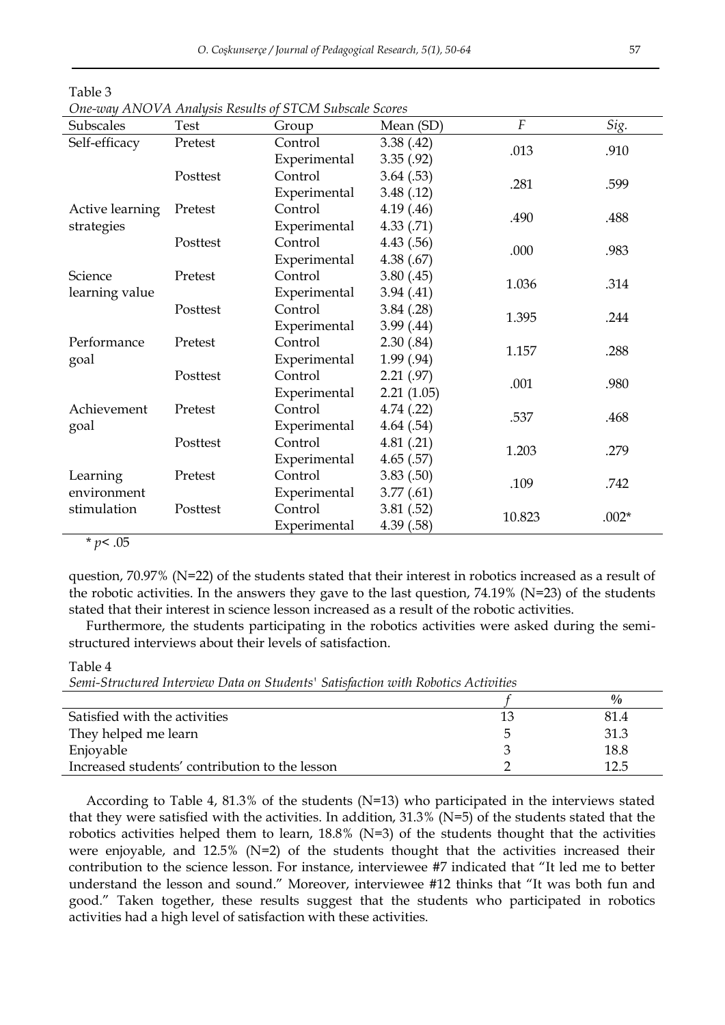|                 |          | One-way ANOVA Analysis Results of STCM Subscale Scores |            |                |         |  |
|-----------------|----------|--------------------------------------------------------|------------|----------------|---------|--|
| Subscales       | Test     | Group                                                  | Mean (SD)  | $\overline{F}$ | Sig.    |  |
| Self-efficacy   | Pretest  | Control                                                | 3.38(42)   |                |         |  |
|                 |          | Experimental                                           | 3.35(.92)  | .013           | .910    |  |
|                 | Posttest | Control                                                | 3.64(.53)  | .281           | .599    |  |
|                 |          | Experimental                                           | 3.48(0.12) |                |         |  |
| Active learning | Pretest  | Control                                                | 4.19(0.46) | .490           | .488    |  |
| strategies      |          | Experimental                                           | 4.33(0.71) |                |         |  |
|                 | Posttest | Control                                                | 4.43(.56)  | .000           | .983    |  |
|                 |          | Experimental                                           | 4.38(.67)  |                |         |  |
| Science         | Pretest  | Control                                                | 3.80(0.45) | 1.036          | .314    |  |
| learning value  |          | Experimental                                           | 3.94(41)   |                |         |  |
|                 | Posttest | Control                                                | 3.84(.28)  | 1.395          | .244    |  |
|                 |          | Experimental                                           | 3.99(0.44) |                |         |  |
| Performance     | Pretest  | Control                                                | 2.30(.84)  | 1.157          | .288    |  |
| goal            |          | Experimental                                           | 1.99(0.94) |                |         |  |
|                 | Posttest | Control                                                | 2.21(.97)  | .001           | .980    |  |
|                 |          | Experimental                                           | 2.21(1.05) |                |         |  |
| Achievement     | Pretest  | Control                                                | 4.74(.22)  | .537           | .468    |  |
| goal            |          | Experimental                                           | 4.64(.54)  |                |         |  |
|                 | Posttest | Control                                                | 4.81(.21)  | 1.203          | .279    |  |
|                 |          | Experimental                                           | 4.65(.57)  |                |         |  |
| Learning        | Pretest  | Control                                                | 3.83(.50)  | .109           | .742    |  |
| environment     |          | Experimental                                           | 3.77(0.61) |                |         |  |
| stimulation     | Posttest | Control                                                | 3.81(.52)  | 10.823         | $.002*$ |  |
|                 |          | Experimental                                           | 4.39(.58)  |                |         |  |

| ------                                                 |
|--------------------------------------------------------|
| One-way ANOVA Analysis Results of STCM Subscale Scores |

\* *p*< .05

Table 3

question, 70.97% (N=22) of the students stated that their interest in robotics increased as a result of the robotic activities. In the answers they gave to the last question,  $74.19\%$  (N=23) of the students stated that their interest in science lesson increased as a result of the robotic activities.

Furthermore, the students participating in the robotics activities were asked during the semistructured interviews about their levels of satisfaction.

Table 4 *Semi-Structured Interview Data on Students' Satisfaction with Robotics Activities* 

|                                                |    | $\frac{0}{0}$ |
|------------------------------------------------|----|---------------|
| Satisfied with the activities                  | 13 | 81.4          |
| They helped me learn                           |    | 31.3          |
| Enjoyable                                      |    | 18.8          |
| Increased students' contribution to the lesson |    | 12.5          |

According to Table 4, 81.3% of the students  $(N=13)$  who participated in the interviews stated that they were satisfied with the activities. In addition,  $31.3\%$  (N=5) of the students stated that the robotics activities helped them to learn,  $18.8\%$  (N=3) of the students thought that the activities were enjoyable, and 12.5% (N=2) of the students thought that the activities increased their contribution to the science lesson. For instance, interviewee #7 indicated that "It led me to better understand the lesson and sound." Moreover, interviewee #12 thinks that "It was both fun and good." Taken together, these results suggest that the students who participated in robotics activities had a high level of satisfaction with these activities.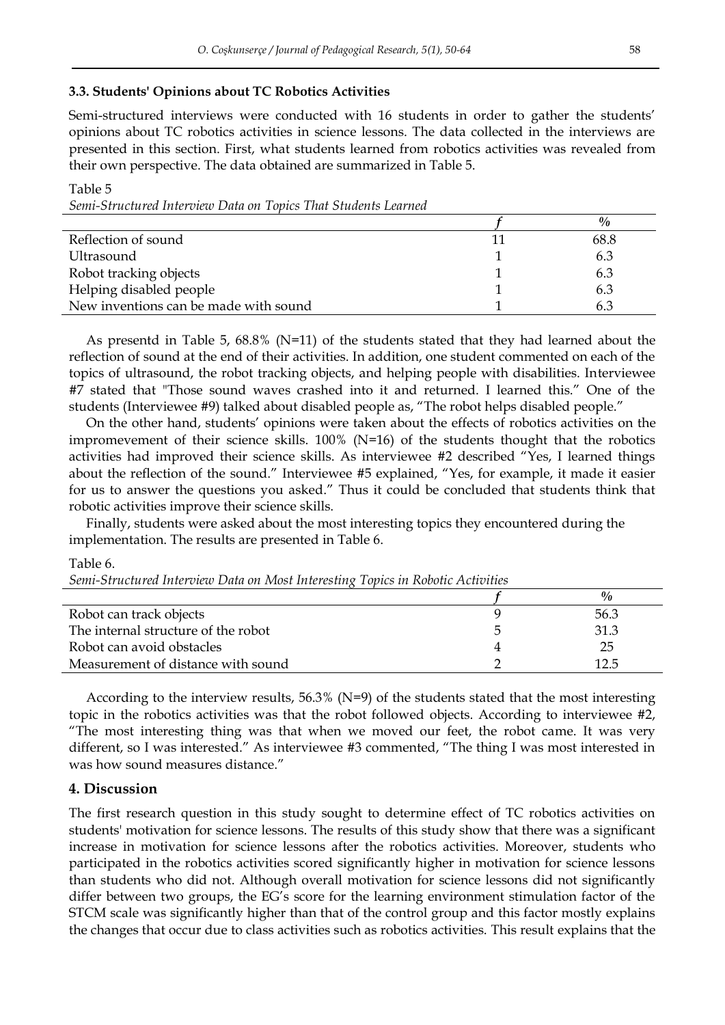#### **3.3. Students' Opinions about TC Robotics Activities**

Semi-structured interviews were conducted with 16 students in order to gather the students' opinions about TC robotics activities in science lessons. The data collected in the interviews are presented in this section. First, what students learned from robotics activities was revealed from their own perspective. The data obtained are summarized in Table 5.

Table 5 *Semi-Structured Interview Data on Topics That Students Learned*

|                                       | $\frac{0}{0}$ |
|---------------------------------------|---------------|
| Reflection of sound                   | 68.8          |
| Ultrasound                            | 6.3           |
| Robot tracking objects                | 6.3           |
| Helping disabled people               | 6.3           |
| New inventions can be made with sound | 6.3           |

As presentd in Table 5, 68.8% (N=11) of the students stated that they had learned about the reflection of sound at the end of their activities. In addition, one student commented on each of the topics of ultrasound, the robot tracking objects, and helping people with disabilities. Interviewee #7 stated that "Those sound waves crashed into it and returned. I learned this." One of the students (Interviewee #9) talked about disabled people as, "The robot helps disabled people."

On the other hand, students' opinions were taken about the effects of robotics activities on the impromevement of their science skills. 100% (N=16) of the students thought that the robotics activities had improved their science skills. As interviewee #2 described "Yes, I learned things about the reflection of the sound." Interviewee #5 explained, "Yes, for example, it made it easier for us to answer the questions you asked." Thus it could be concluded that students think that robotic activities improve their science skills.

Finally, students were asked about the most interesting topics they encountered during the implementation. The results are presented in Table 6.

#### Table 6.

*Semi-Structured Interview Data on Most Interesting Topics in Robotic Activities*

|                                     | $\frac{0}{0}$ |
|-------------------------------------|---------------|
| Robot can track objects             | 56.3          |
| The internal structure of the robot | 31.3          |
| Robot can avoid obstacles           | 25            |
| Measurement of distance with sound  |               |

According to the interview results, 56.3% (N=9) of the students stated that the most interesting topic in the robotics activities was that the robot followed objects. According to interviewee #2, "The most interesting thing was that when we moved our feet, the robot came. It was very different, so I was interested." As interviewee #3 commented, "The thing I was most interested in was how sound measures distance."

### **4. Discussion**

The first research question in this study sought to determine effect of TC robotics activities on students' motivation for science lessons. The results of this study show that there was a significant increase in motivation for science lessons after the robotics activities. Moreover, students who participated in the robotics activities scored significantly higher in motivation for science lessons than students who did not. Although overall motivation for science lessons did not significantly differ between two groups, the EG's score for the learning environment stimulation factor of the STCM scale was significantly higher than that of the control group and this factor mostly explains the changes that occur due to class activities such as robotics activities. This result explains that the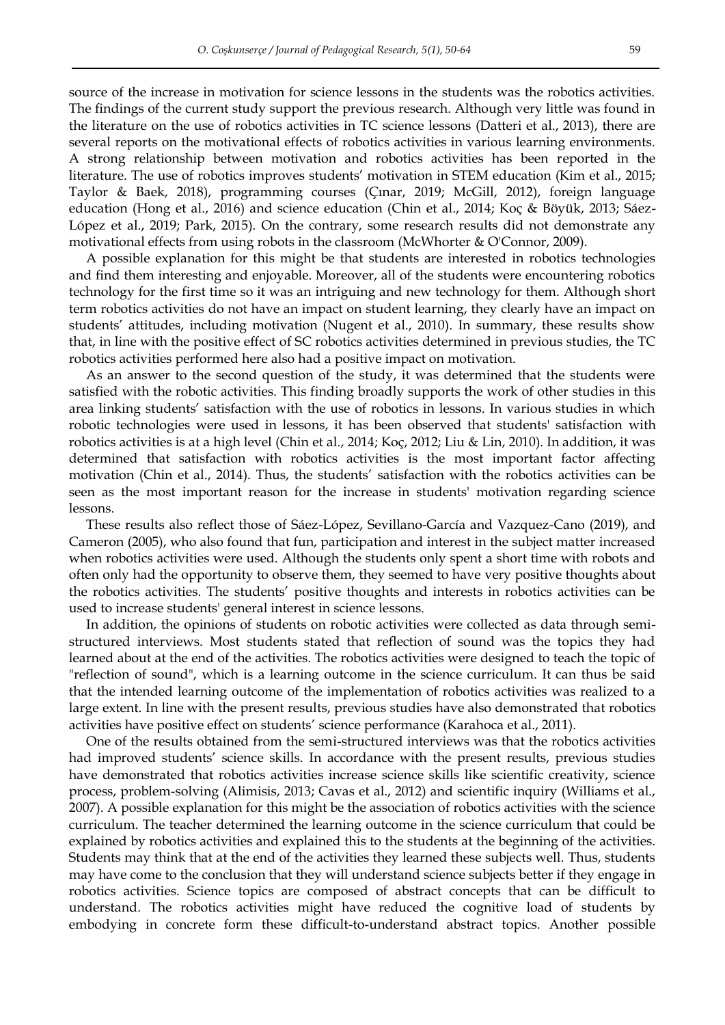source of the increase in motivation for science lessons in the students was the robotics activities. The findings of the current study support the previous research. Although very little was found in the literature on the use of robotics activities in TC science lessons (Datteri et al., 2013), there are several reports on the motivational effects of robotics activities in various learning environments. A strong relationship between motivation and robotics activities has been reported in the literature. The use of robotics improves students' motivation in STEM education (Kim et al., 2015; Taylor & Baek, 2018), programming courses (Çınar, 2019; McGill, 2012), foreign language education (Hong et al., 2016) and science education (Chin et al., 2014; Koç & Böyük, 2013; Sáez-López et al., 2019; Park, 2015). On the contrary, some research results did not demonstrate any motivational effects from using robots in the classroom (McWhorter & O'Connor, 2009).

A possible explanation for this might be that students are interested in robotics technologies and find them interesting and enjoyable. Moreover, all of the students were encountering robotics technology for the first time so it was an intriguing and new technology for them. Although short term robotics activities do not have an impact on student learning, they clearly have an impact on students' attitudes, including motivation (Nugent et al., 2010). In summary, these results show that, in line with the positive effect of SC robotics activities determined in previous studies, the TC robotics activities performed here also had a positive impact on motivation.

As an answer to the second question of the study, it was determined that the students were satisfied with the robotic activities. This finding broadly supports the work of other studies in this area linking students' satisfaction with the use of robotics in lessons. In various studies in which robotic technologies were used in lessons, it has been observed that students' satisfaction with robotics activities is at a high level (Chin et al., 2014; Koç, 2012; Liu & Lin, 2010). In addition, it was determined that satisfaction with robotics activities is the most important factor affecting motivation (Chin et al., 2014). Thus, the students' satisfaction with the robotics activities can be seen as the most important reason for the increase in students' motivation regarding science lessons.

These results also reflect those of Sáez-López, Sevillano-García and Vazquez-Cano (2019), and Cameron (2005), who also found that fun, participation and interest in the subject matter increased when robotics activities were used. Although the students only spent a short time with robots and often only had the opportunity to observe them, they seemed to have very positive thoughts about the robotics activities. The students' positive thoughts and interests in robotics activities can be used to increase students' general interest in science lessons.

In addition, the opinions of students on robotic activities were collected as data through semistructured interviews. Most students stated that reflection of sound was the topics they had learned about at the end of the activities. The robotics activities were designed to teach the topic of "reflection of sound", which is a learning outcome in the science curriculum. It can thus be said that the intended learning outcome of the implementation of robotics activities was realized to a large extent. In line with the present results, previous studies have also demonstrated that robotics activities have positive effect on students' science performance (Karahoca et al., 2011).

One of the results obtained from the semi-structured interviews was that the robotics activities had improved students' science skills. In accordance with the present results, previous studies have demonstrated that robotics activities increase science skills like scientific creativity, science process, problem-solving (Alimisis, 2013; Cavas et al., 2012) and scientific inquiry (Williams et al., 2007). A possible explanation for this might be the association of robotics activities with the science curriculum. The teacher determined the learning outcome in the science curriculum that could be explained by robotics activities and explained this to the students at the beginning of the activities. Students may think that at the end of the activities they learned these subjects well. Thus, students may have come to the conclusion that they will understand science subjects better if they engage in robotics activities. Science topics are composed of abstract concepts that can be difficult to understand. The robotics activities might have reduced the cognitive load of students by embodying in concrete form these difficult-to-understand abstract topics. Another possible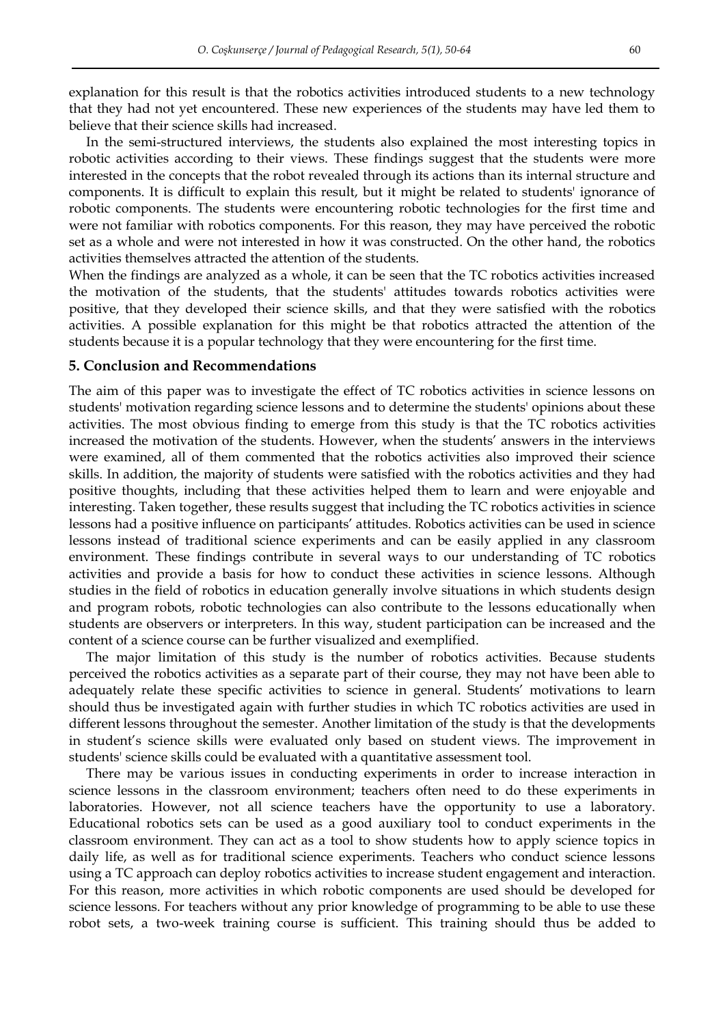explanation for this result is that the robotics activities introduced students to a new technology that they had not yet encountered. These new experiences of the students may have led them to believe that their science skills had increased.

In the semi-structured interviews, the students also explained the most interesting topics in robotic activities according to their views. These findings suggest that the students were more interested in the concepts that the robot revealed through its actions than its internal structure and components. It is difficult to explain this result, but it might be related to students' ignorance of robotic components. The students were encountering robotic technologies for the first time and were not familiar with robotics components. For this reason, they may have perceived the robotic set as a whole and were not interested in how it was constructed. On the other hand, the robotics activities themselves attracted the attention of the students.

When the findings are analyzed as a whole, it can be seen that the TC robotics activities increased the motivation of the students, that the students' attitudes towards robotics activities were positive, that they developed their science skills, and that they were satisfied with the robotics activities. A possible explanation for this might be that robotics attracted the attention of the students because it is a popular technology that they were encountering for the first time.

## **5. Conclusion and Recommendations**

The aim of this paper was to investigate the effect of TC robotics activities in science lessons on students' motivation regarding science lessons and to determine the students' opinions about these activities. The most obvious finding to emerge from this study is that the TC robotics activities increased the motivation of the students. However, when the students' answers in the interviews were examined, all of them commented that the robotics activities also improved their science skills. In addition, the majority of students were satisfied with the robotics activities and they had positive thoughts, including that these activities helped them to learn and were enjoyable and interesting. Taken together, these results suggest that including the TC robotics activities in science lessons had a positive influence on participants' attitudes. Robotics activities can be used in science lessons instead of traditional science experiments and can be easily applied in any classroom environment. These findings contribute in several ways to our understanding of TC robotics activities and provide a basis for how to conduct these activities in science lessons. Although studies in the field of robotics in education generally involve situations in which students design and program robots, robotic technologies can also contribute to the lessons educationally when students are observers or interpreters. In this way, student participation can be increased and the content of a science course can be further visualized and exemplified.

The major limitation of this study is the number of robotics activities. Because students perceived the robotics activities as a separate part of their course, they may not have been able to adequately relate these specific activities to science in general. Students' motivations to learn should thus be investigated again with further studies in which TC robotics activities are used in different lessons throughout the semester. Another limitation of the study is that the developments in student's science skills were evaluated only based on student views. The improvement in students' science skills could be evaluated with a quantitative assessment tool.

There may be various issues in conducting experiments in order to increase interaction in science lessons in the classroom environment; teachers often need to do these experiments in laboratories. However, not all science teachers have the opportunity to use a laboratory. Educational robotics sets can be used as a good auxiliary tool to conduct experiments in the classroom environment. They can act as a tool to show students how to apply science topics in daily life, as well as for traditional science experiments. Teachers who conduct science lessons using a TC approach can deploy robotics activities to increase student engagement and interaction. For this reason, more activities in which robotic components are used should be developed for science lessons. For teachers without any prior knowledge of programming to be able to use these robot sets, a two-week training course is sufficient. This training should thus be added to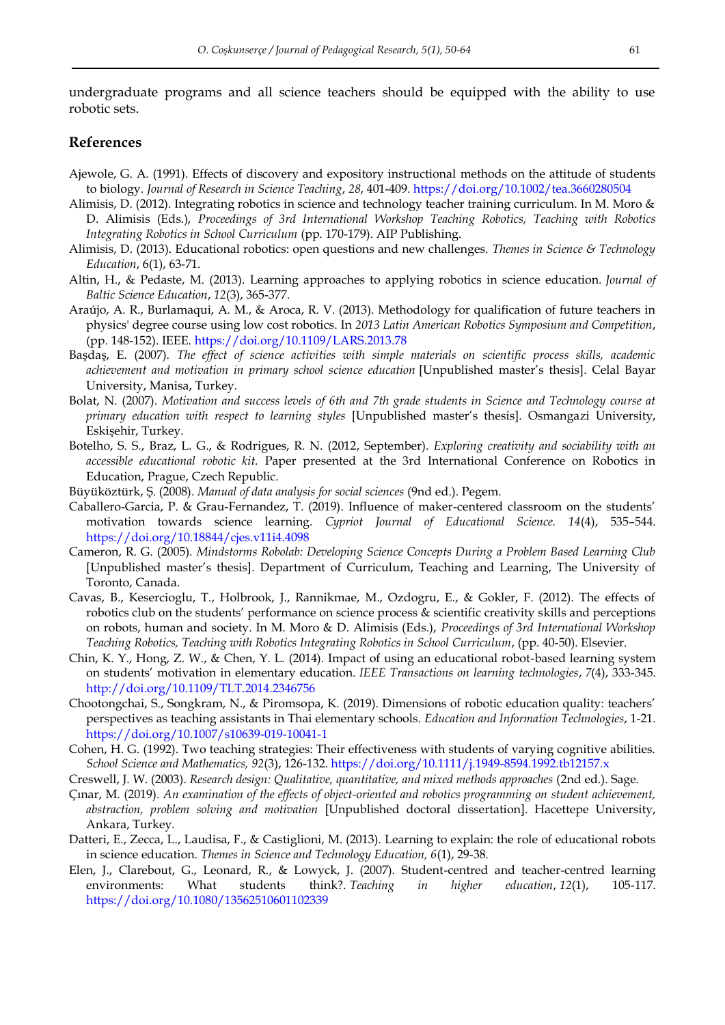undergraduate programs and all science teachers should be equipped with the ability to use robotic sets.

### **References**

- Ajewole, G. A. (1991). Effects of discovery and expository instructional methods on the attitude of students to biology. *Journal of Research in Science Teaching*, *28*, 401-409.<https://doi.org/10.1002/tea.3660280504>
- Alimisis, D. (2012). Integrating robotics in science and technology teacher training curriculum. In M. Moro & D. Alimisis (Eds.), *Proceedings of 3rd International Workshop Teaching Robotics, Teaching with Robotics Integrating Robotics in School Curriculum* (pp. 170-179). AIP Publishing.
- Alimisis, D. (2013). Educational robotics: open questions and new challenges. *Themes in Science & Technology Education*, 6(1), 63-71.
- Altin, H., & Pedaste, M. (2013). Learning approaches to applying robotics in science education. *Journal of Baltic Science Education*, *12*(3), 365-377.
- Araújo, A. R., Burlamaqui, A. M., & Aroca, R. V. (2013). Methodology for qualification of future teachers in physics' degree course using low cost robotics. In *2013 Latin American Robotics Symposium and Competition*, (pp. 148-152). IEEE[. https://doi.org/10.1109/LARS.2013.78](https://doi.org/10.1109/LARS.2013.78)
- Başdaş, E. (2007). *The effect of science activities with simple materials on scientific process skills, academic achievement and motivation in primary school science education* [Unpublished master's thesis]. Celal Bayar University, Manisa, Turkey.
- Bolat, N. (2007). *Motivation and success levels of 6th and 7th grade students in Science and Technology course at primary education with respect to learning styles* [Unpublished master's thesis]. Osmangazi University, Eskişehir, Turkey.
- Botelho, S. S., Braz, L. G., & Rodrigues, R. N. (2012, September). *Exploring creativity and sociability with an accessible educational robotic kit.* Paper presented at the 3rd International Conference on Robotics in Education, Prague, Czech Republic.
- Büyüköztürk, Ş. (2008). *Manual of data analysis for social sciences* (9nd ed.). Pegem.
- Caballero-Garcia, P. & Grau-Fernandez, T. (2019). Influence of maker-centered classroom on the students' motivation towards science learning. *Cypriot Journal of Educational Science. 14*(4), 535–544. <https://doi.org/10.18844/cjes.v11i4.4098>
- Cameron, R. G. (2005). *Mindstorms Robolab: Developing Science Concepts During a Problem Based Learning Club*  [Unpublished master's thesis]. Department of Curriculum, Teaching and Learning, The University of Toronto, Canada.
- Cavas, B., Kesercioglu, T., Holbrook, J., Rannikmae, M., Ozdogru, E., & Gokler, F. (2012). The effects of robotics club on the students' performance on science process & scientific creativity skills and perceptions on robots, human and society. In M. Moro & D. Alimisis (Eds.), *Proceedings of 3rd International Workshop Teaching Robotics, Teaching with Robotics Integrating Robotics in School Curriculum*, (pp. 40-50). Elsevier.
- Chin, K. Y., Hong, Z. W., & Chen, Y. L. (2014). Impact of using an educational robot-based learning system on students' motivation in elementary education. *IEEE Transactions on learning technologies*, *7*(4), 333-345. <http://doi.org/10.1109/TLT.2014.2346756>
- Chootongchai, S., Songkram, N., & Piromsopa, K. (2019). Dimensions of robotic education quality: teachers' perspectives as teaching assistants in Thai elementary schools. *Education and Information Technologies*, 1-21. <https://doi.org/10.1007/s10639-019-10041-1>
- Cohen, H. G. (1992). Two teaching strategies: Their effectiveness with students of varying cognitive abilities. *School Science and Mathematics, 92*(3), 126-132.<https://doi.org/10.1111/j.1949-8594.1992.tb12157.x>
- Creswell, J. W. (2003). *Research design: Qualitative, quantitative, and mixed methods approaches* (2nd ed.). Sage.
- Çınar, M. (2019). *An examination of the effects of object-oriented and robotics programming on student achievement, abstraction, problem solving and motivation* [Unpublished doctoral dissertation]. Hacettepe University, Ankara, Turkey.
- Datteri, E., Zecca, L., Laudisa, F., & Castiglioni, M. (2013). Learning to explain: the role of educational robots in science education. *Themes in Science and Technology Education, 6*(1), 29-38.
- Elen, J., Clarebout, G., Leonard, R., & Lowyck, J. (2007). Student-centred and teacher-centred learning environments: What students think?. *Teaching in higher education*, *12*(1), 105-117. <https://doi.org/10.1080/13562510601102339>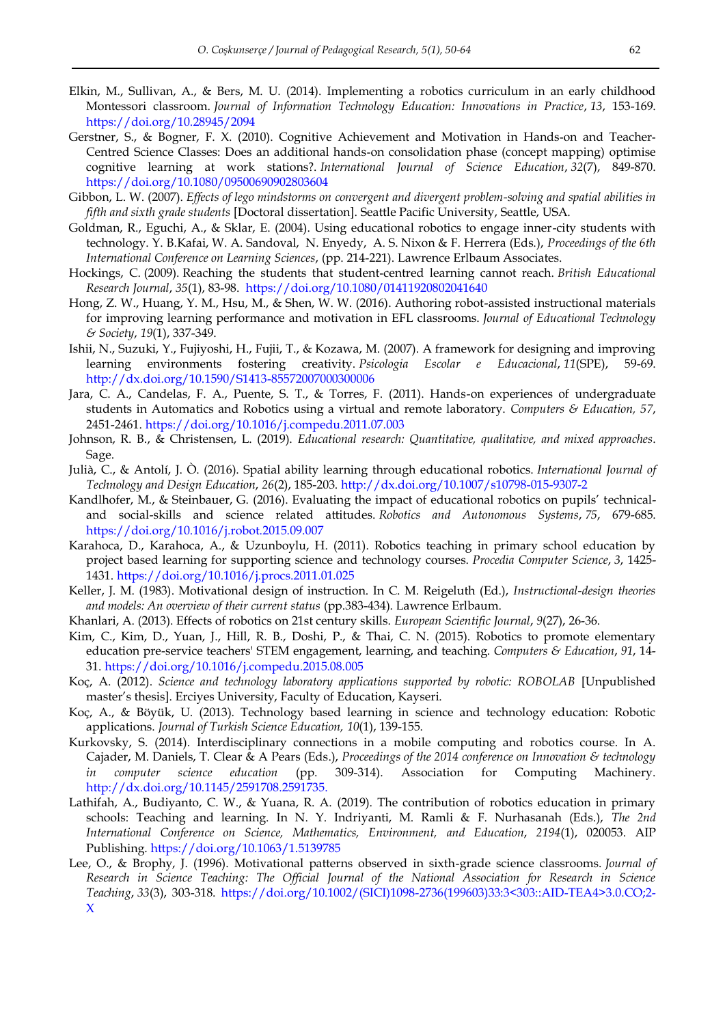- Elkin, M., Sullivan, A., & Bers, M. U. (2014). Implementing a robotics curriculum in an early childhood Montessori classroom. *Journal of Information Technology Education: Innovations in Practice*, *13*, 153-169. <https://doi.org/10.28945/2094>
- Gerstner, S., & Bogner, F. X. (2010). Cognitive Achievement and Motivation in Hands-on and Teacher-Centred Science Classes: Does an additional hands‐on consolidation phase (concept mapping) optimise cognitive learning at work stations?. *International Journal of Science Education*, *32*(7), 849-870. <https://doi.org/10.1080/09500690902803604>
- Gibbon, L. W. (2007). *Effects of lego mindstorms on convergent and divergent problem-solving and spatial abilities in fifth and sixth grade students* [Doctoral dissertation]. Seattle Pacific University, Seattle, USA.
- Goldman, R., Eguchi, A., & Sklar, E. (2004). Using educational robotics to engage inner-city students with technology. Y. B.Kafai, W. A. Sandoval, N. Enyedy, A. S. Nixon & F. Herrera (Eds.), *Proceedings of the 6th International Conference on Learning Sciences*, (pp. 214-221). Lawrence Erlbaum Associates.
- Hockings, C. (2009). Reaching the students that student‐centred learning cannot reach. *British Educational Research Journal*, *35*(1), 83-98.<https://doi.org/10.1080/01411920802041640>
- Hong, Z. W., Huang, Y. M., Hsu, M., & Shen, W. W. (2016). Authoring robot-assisted instructional materials for improving learning performance and motivation in EFL classrooms. *Journal of Educational Technology & Society*, *19*(1), 337-349.
- Ishii, N., Suzuki, Y., Fujiyoshi, H., Fujii, T., & Kozawa, M. (2007). A framework for designing and improving learning environments fostering creativity. *Psicologia Escolar e Educacional*, *11*(SPE), 59-69. [http://dx.doi.org/10.1590/S1413-85572007000300006](http://dx.doi.org/10.1590/S1413-85572007000300006 )
- Jara, C. A., Candelas, F. A., Puente, S. T., & Torres, F. (2011). Hands-on experiences of undergraduate students in Automatics and Robotics using a virtual and remote laboratory. *Computers & Education, 57*, 2451-2461.<https://doi.org/10.1016/j.compedu.2011.07.003>
- Johnson, R. B., & Christensen, L. (2019). *Educational research: Quantitative, qualitative, and mixed approaches*. Sage.
- Julià, C., & Antolí, J. Ò. (2016). Spatial ability learning through educational robotics. *International Journal of Technology and Design Education*, *26*(2), 185-203.<http://dx.doi.org/10.1007/s10798-015-9307-2>
- Kandlhofer, M., & Steinbauer, G. (2016). Evaluating the impact of educational robotics on pupils' technicaland social-skills and science related attitudes. *Robotics and Autonomous Systems*, *75*, 679-685. <https://doi.org/10.1016/j.robot.2015.09.007>
- Karahoca, D., Karahoca, A., & Uzunboylu, H. (2011). Robotics teaching in primary school education by project based learning for supporting science and technology courses. *Procedia Computer Science*, *3*, 1425- 1431.<https://doi.org/10.1016/j.procs.2011.01.025>
- Keller, J. M. (1983). Motivational design of instruction. In C. M. Reigeluth (Ed.), *Instructional-design theories and models: An overview of their current status* (pp.383-434). Lawrence Erlbaum.
- Khanlari, A. (2013). Effects of robotics on 21st century skills. *European Scientific Journal*, *9*(27), 26-36.
- Kim, C., Kim, D., Yuan, J., Hill, R. B., Doshi, P., & Thai, C. N. (2015). Robotics to promote elementary education pre-service teachers' STEM engagement, learning, and teaching. *Computers & Education*, *91*, 14- 31.<https://doi.org/10.1016/j.compedu.2015.08.005>
- Koç, A. (2012). *Science and technology laboratory applications supported by robotic: ROBOLAB* [Unpublished master's thesis]. Erciyes University, Faculty of Education, Kayseri.
- Koç, A., & Böyük, U. (2013). Technology based learning in science and technology education: Robotic applications. *Journal of Turkish Science Education, 10*(1), 139-155.
- Kurkovsky, S. (2014). Interdisciplinary connections in a mobile computing and robotics course. In A. Cajader, M. Daniels, T. Clear & A Pears (Eds.), *Proceedings of the 2014 conference on Innovation & technology in computer science education* (pp. 309-314). Association for Computing Machinery. <http://dx.doi.org/10.1145/2591708.2591735.>
- Lathifah, A., Budiyanto, C. W., & Yuana, R. A. (2019). The contribution of robotics education in primary schools: Teaching and learning. In N. Y. Indriyanti, M. Ramli & F. Nurhasanah (Eds.), *The 2nd International Conference on Science, Mathematics, Environment, and Education*, *2194*(1), 020053. AIP Publishing[. https://doi.org/10.1063/1.5139785](https://doi.org/10.1063/1.5139785)
- Lee, O., & Brophy, J. (1996). Motivational patterns observed in sixth‐grade science classrooms. *Journal of Research in Science Teaching: The Official Journal of the National Association for Research in Science Teaching*, *33*(3), 303-318. [https://doi.org/10.1002/\(SICI\)1098-2736\(199603\)33:3<303::AID-TEA4>3.0.CO;2-](https://doi.org/10.1002/(SICI)1098-2736(199603)33:3%3c303::AID-TEA4%3e3.0.CO;2-X) [X](https://doi.org/10.1002/(SICI)1098-2736(199603)33:3%3c303::AID-TEA4%3e3.0.CO;2-X)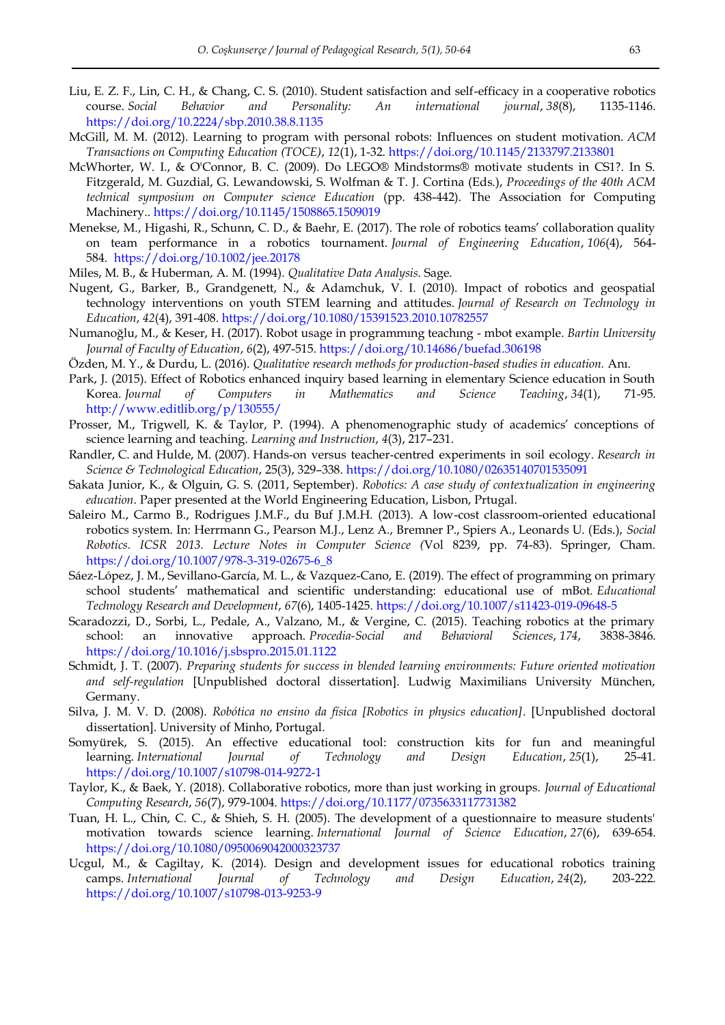- Liu, E. Z. F., Lin, C. H., & Chang, C. S. (2010). Student satisfaction and self-efficacy in a cooperative robotics course. *Social Behavior and Personality: An international journal*, *38*(8), 1135-1146. <https://doi.org/10.2224/sbp.2010.38.8.1135>
- McGill, M. M. (2012). Learning to program with personal robots: Influences on student motivation. *ACM Transactions on Computing Education (TOCE)*, *12*(1), 1-32.<https://doi.org/10.1145/2133797.2133801>
- McWhorter, W. I., & O'Connor, B. C. (2009). Do LEGO® Mindstorms® motivate students in CS1?. In S. Fitzgerald, M. Guzdial, G. Lewandowski, S. Wolfman & T. J. Cortina (Eds.), *Proceedings of the 40th ACM technical symposium on Computer science Education* (pp. 438-442). The Association for Computing Machinery..<https://doi.org/10.1145/1508865.1509019>
- Menekse, M., Higashi, R., Schunn, C. D., & Baehr, E. (2017). The role of robotics teams' collaboration quality on team performance in a robotics tournament. *Journal of Engineering Education*, *106*(4), 564- 584. <https://doi.org/10.1002/jee.20178>
- Miles, M. B., & Huberman, A. M. (1994). *Qualitative Data Analysis*. Sage.
- Nugent, G., Barker, B., Grandgenett, N., & Adamchuk, V. I. (2010). Impact of robotics and geospatial technology interventions on youth STEM learning and attitudes. *Journal of Research on Technology in Education*, *42*(4), 391-408.<https://doi.org/10.1080/15391523.2010.10782557>
- Numanoğlu, M., & Keser, H. (2017). Robot usage in programmıng teachıng mbot example. *Bartin University Journal of Faculty of Education*, *6*(2), 497-515.<https://doi.org/10.14686/buefad.306198>
- Özden, M. Y., & Durdu, L. (2016). *Qualitative research methods for production-based studies in education.* Anı.
- Park, J. (2015). Effect of Robotics enhanced inquiry based learning in elementary Science education in South Korea. *Journal of Computers in Mathematics and Science Teaching*, *34*(1), 71-95. <http://www.editlib.org/p/130555/>
- Prosser, M., Trigwell, K. & Taylor, P. (1994). A phenomenographic study of academics' conceptions of science learning and teaching. *Learning and Instruction*, *4*(3), 217–231.
- Randler, C. and Hulde, M. (2007). Hands‐on versus teacher‐centred experiments in soil ecology. *Research in Science & Technological Education*, 25(3), 329–338.<https://doi.org/10.1080/02635140701535091>
- Sakata Junior, K., & Olguin, G. S. (2011, September). *Robotics: A case study of contextualization in engineering education*. Paper presented at the World Engineering Education, Lisbon, Prtugal.
- Saleiro M., Carmo B., Rodrigues J.M.F., du Buf J.M.H. (2013). A low-cost classroom-oriented educational robotics system. In: Herrmann G., Pearson M.J., Lenz A., Bremner P., Spiers A., Leonards U. (Eds.), *Social Robotics. ICSR 2013. Lecture Notes in Computer Science (*Vol 8239, pp. 74-83). Springer, Cham. [https://doi.org/10.1007/978-3-319-02675-6\\_8](https://doi.org/10.1007/978-3-319-02675-6_8)
- Sáez-López, J. M., Sevillano-García, M. L., & Vazquez-Cano, E. (2019). The effect of programming on primary school students' mathematical and scientific understanding: educational use of mBot. *Educational Technology Research and Development*, *67*(6), 1405-1425.<https://doi.org/10.1007/s11423-019-09648-5>
- Scaradozzi, D., Sorbi, L., Pedale, A., Valzano, M., & Vergine, C. (2015). Teaching robotics at the primary school: an innovative approach. *Procedia-Social and Behavioral Sciences*, *174*, 3838-3846. <https://doi.org/10.1016/j.sbspro.2015.01.1122>
- Schmidt, J. T. (2007). *Preparing students for success in blended learning environments: Future oriented motivation and self-regulation* [Unpublished doctoral dissertation]. Ludwig Maximilians University München, Germany.
- Silva, J. M. V. D. (2008). *Robótica no ensino da física [Robotics in physics education]*. [Unpublished doctoral dissertation]. University of Minho, Portugal.
- Somyürek, S. (2015). An effective educational tool: construction kits for fun and meaningful learning. *International Journal of Technology and Design Education*, *25*(1), 25-41. <https://doi.org/10.1007/s10798-014-9272-1>
- Taylor, K., & Baek, Y. (2018). Collaborative robotics, more than just working in groups. *Journal of Educational Computing Research*, *56*(7), 979-1004.<https://doi.org/10.1177/0735633117731382>
- Tuan, H. L., Chin, C. C., & Shieh, S. H. (2005). The development of a questionnaire to measure students' motivation towards science learning. *International Journal of Science Education*, *27*(6), 639-654. <https://doi.org/10.1080/0950069042000323737>
- Ucgul, M., & Cagiltay, K. (2014). Design and development issues for educational robotics training camps. *International Journal of Technology and Design Education*, *24*(2), 203-222. <https://doi.org/10.1007/s10798-013-9253-9>